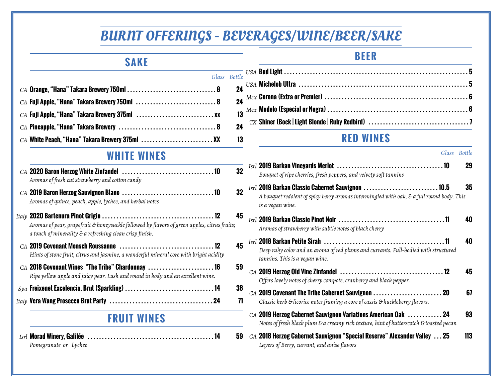# BURNT OFFERINGS - BEVERAGES/WINE/BEER/SAKE

*Glass Bottle*

#### **SAKE**

| $CA$ Fuji Apple, "Hana" Takara Brewery 750ml $\dots\dots\dots\dots\dots\dots\dots\dots 8$ 24 |  |
|----------------------------------------------------------------------------------------------|--|
|                                                                                              |  |
|                                                                                              |  |
| $CA$ White Peach, "Hana" Takara Brewery 375ml $\ldots$ XX 13                                 |  |

#### **WHITE WINES**

| $CA$ 2020 Baron Herzog White Zinfandel $\ldots \ldots \ldots \ldots \ldots \ldots \ldots \ldots \ldots 10$<br>Aromas of fresh cut strawberry and cotton candy       | 32 |
|---------------------------------------------------------------------------------------------------------------------------------------------------------------------|----|
| $CA$ 2019 Baron Herzog Sauvignon Blanc $\ldots \ldots \ldots \ldots \ldots \ldots \ldots \ldots \ldots$<br>Aromas of quince, peach, apple, lychee, and herbal notes | 32 |
| Aromas of pear, grapefruit & honeysuckle followed by flavors of green apples, citrus fruits;<br>a touch of minerality & a refreshing clean crisp finish.            | 45 |
| Hints of stone fruit, citrus and jasmine, a wonderful mineral core with bright acidity                                                                              | 45 |
| $CA$ 2018 Covenant Wines "The Tribe" Chardonnay 16<br>Ripe yellow apple and juicy pear. Lush and round in body and an excellent wine.                               | 59 |
|                                                                                                                                                                     | 38 |

*Italy* **Vera Wang Prosecco Brut Party . . . . . . . . . . . . . . . . . . . . . . . . . . . . . . . . . . . . 24 71**

### **FRUIT WINES**

*Isrl* **Morad Winery, Galilée . . . . . . . . . . . . . . . . . . . . . . . . . . . . . . . . . . . . . . . . . . . . 14 59** *Pomegranate or Lychee*

**BEER**

### **RED WINES**

|                                                                                                                                                                                                                              | Glass Bottle |
|------------------------------------------------------------------------------------------------------------------------------------------------------------------------------------------------------------------------------|--------------|
| Bouquet of ripe cherries, fresh peppers, and velvety soft tannins                                                                                                                                                            | 29           |
| $_{Isrl}$ 2019 Barkan Classic Cabernet Sauvignon $\,\ldots\ldots\ldots\ldots\ldots\ldots\ldots\ldots\,10.5$<br>A bouquet redolent of spicy berry aromas intermingled with oak, & a full round body. This<br>is a vegan wine. | 35           |
| $_{Isrl}$ 2019 Barkan Classic Pinot Noir $\,\ldots\ldots\ldots\ldots\ldots\ldots\ldots\ldots\ldots\ldots\ldots\ldots\,$ 11<br>Aromas of strawberry with subtle notes of black cherry                                         | 40           |
| Deep ruby color and an aroma of red plums and currants. Full-bodied with structured<br>tannins. This is a vegan wine.                                                                                                        | 40           |
| Offers lovely notes of cherry compote, cranberry and black pepper.                                                                                                                                                           | 45           |
| CA 2019 Covenant The Tribe Cabernet Sauvignon 20<br>Classic herb & licorice notes framing a core of cassis & huckleberry flavors.                                                                                            | 67           |
| CA 2019 Herzog Cabernet Sauvignon Variations American Oak  24<br>Notes of fresh black plum & a creamy rich texture, hint of butterscotch & toasted pecan                                                                     | 93           |
| $CA$ 2018 Herzog Cabernet Sauvignon "Special Reserve" Alexander Valley $\dots$ 25<br>Layers of Berry, currant, and anise flavors                                                                                             | 113          |